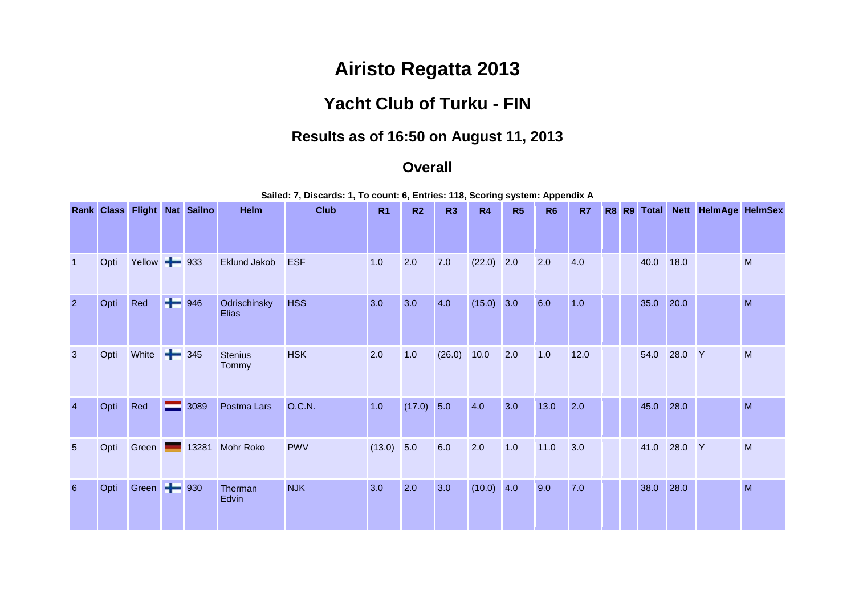## **Airisto Regatta 2013**

## **Yacht Club of Turku - FIN**

## **Results as of 16:50 on August 11, 2013**

## **Overall**

**Sailed: 7, Discards: 1, To count: 6, Entries: 118, Scoring system: Appendix A**

|                 |      |                    |                                      | Rank Class Flight Nat Sailno | Helm                         | <b>Club</b>   | R <sub>1</sub> | R <sub>2</sub> | R3     | R4           | R5  | R <sub>6</sub> | R <sub>7</sub> |  | R8 R9 Total |        | Nett HelmAge HelmSex |   |
|-----------------|------|--------------------|--------------------------------------|------------------------------|------------------------------|---------------|----------------|----------------|--------|--------------|-----|----------------|----------------|--|-------------|--------|----------------------|---|
|                 |      |                    |                                      |                              |                              |               |                |                |        |              |     |                |                |  |             |        |                      |   |
| $\mathbf{1}$    | Opti | Yellow - 933       |                                      |                              | <b>Eklund Jakob</b>          | <b>ESF</b>    | 1.0            | 2.0            | 7.0    | $(22.0)$ 2.0 |     | 2.0            | 4.0            |  | 40.0        | 18.0   |                      | M |
| $\overline{2}$  | Opti | Red                | $\left  \rule{0cm}{0cm} \right $ 946 |                              | Odrischinsky<br><b>Elias</b> | <b>HSS</b>    | 3.0            | 3.0            | 4.0    | (15.0)       | 3.0 | 6.0            | 1.0            |  | 35.0        | 20.0   |                      | M |
| $\mathbf{3}$    | Opti | White              | ÷                                    | 345                          | <b>Stenius</b><br>Tommy      | <b>HSK</b>    | 2.0            | 1.0            | (26.0) | 10.0         | 2.0 | 1.0            | 12.0           |  | 54.0        | 28.0 Y |                      | M |
| $\overline{4}$  | Opti | Red                | —                                    | 3089                         | Postma Lars                  | <b>O.C.N.</b> | 1.0            | $(17.0)$ 5.0   |        | 4.0          | 3.0 | 13.0           | 2.0            |  | 45.0        | 28.0   |                      | M |
| $5\phantom{.0}$ | Opti | Green              |                                      | 13281                        | Mohr Roko                    | <b>PWV</b>    | (13.0)         | 5.0            | 6.0    | 2.0          | 1.0 | 11.0           | 3.0            |  | 41.0        | 28.0 Y |                      | M |
| $6\phantom{1}$  | Opti | Green <b>- 930</b> |                                      |                              | Therman<br>Edvin             | <b>NJK</b>    | 3.0            | 2.0            | 3.0    | (10.0)       | 4.0 | 9.0            | 7.0            |  | 38.0        | 28.0   |                      | M |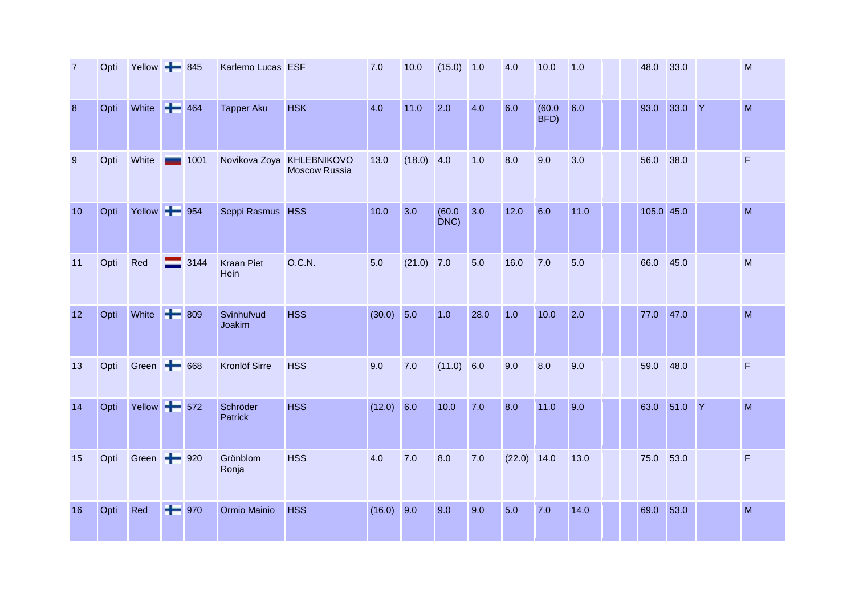| $\overline{7}$ | Opti | Yellow $\rightarrow$ 845 |         | Karlemo Lucas ESF         |                                            | 7.0          | 10.0   | $(15.0)$ 1.0   |      | 4.0           | 10.0           | 1.0  | 48.0       | 33.0      |   | M                                                                                                          |
|----------------|------|--------------------------|---------|---------------------------|--------------------------------------------|--------------|--------|----------------|------|---------------|----------------|------|------------|-----------|---|------------------------------------------------------------------------------------------------------------|
| 8              | Opti | White <b>+</b>           | 464     | <b>Tapper Aku</b>         | <b>HSK</b>                                 | 4.0          | 11.0   | 2.0            | 4.0  | 6.0           | (60.0)<br>BFD) | 6.0  | 93.0       | 33.0      | Y | M                                                                                                          |
| 9              | Opti | White                    | 1001    |                           | Novikova Zoya KHLEBNIKOVO<br>Moscow Russia | 13.0         | (18.0) | 4.0            | 1.0  | 8.0           | 9.0            | 3.0  | 56.0       | 38.0      |   | $\mathsf F$                                                                                                |
| 10             | Opti | Yellow -                 | 954     | Seppi Rasmus HSS          |                                            | 10.0         | 3.0    | (60.0)<br>DNC) | 3.0  | 12.0          | 6.0            | 11.0 | 105.0 45.0 |           |   | M                                                                                                          |
| 11             | Opti | Red                      | 3144    | <b>Kraan Piet</b><br>Hein | O.C.N.                                     | 5.0          | (21.0) | 7.0            | 5.0  | 16.0          | 7.0            | 5.0  | 66.0       | 45.0      |   | M                                                                                                          |
| 12             | Opti | White <b>+</b>           | 809     | Svinhufvud<br>Joakim      | <b>HSS</b>                                 | $(30.0)$ 5.0 |        | 1.0            | 28.0 | 1.0           | 10.0           | 2.0  | 77.0       | 47.0      |   | $\mathsf{M}% _{T}=\mathsf{M}_{T}\!\left( a,b\right) ,\ \mathsf{M}_{T}=\mathsf{M}_{T}\!\left( a,b\right) ,$ |
| 13             | Opti | Green $\leftarrow$ 668   |         | Kronlöf Sirre             | <b>HSS</b>                                 | 9.0          | 7.0    | (11.0) 6.0     |      | 9.0           | 8.0            | 9.0  | 59.0       | 48.0      |   | $\mathsf F$                                                                                                |
| 14             | Opti | Yellow <b>- 572</b>      |         | Schröder<br>Patrick       | <b>HSS</b>                                 | $(12.0)$ 6.0 |        | 10.0           | 7.0  | 8.0           | 11.0           | 9.0  | 63.0       | 51.0 Y    |   | M                                                                                                          |
| 15             | Opti | Green + 920              |         | Grönblom<br>Ronja         | <b>HSS</b>                                 | 4.0          | 7.0    | 8.0            | 7.0  | $(22.0)$ 14.0 |                | 13.0 | 75.0       | 53.0      |   | F                                                                                                          |
| 16             | Opti | Red                      | $+ 970$ | Ormio Mainio              | <b>HSS</b>                                 | $(16.0)$ 9.0 |        | 9.0            | 9.0  | 5.0           | 7.0            | 14.0 |            | 69.0 53.0 |   | M                                                                                                          |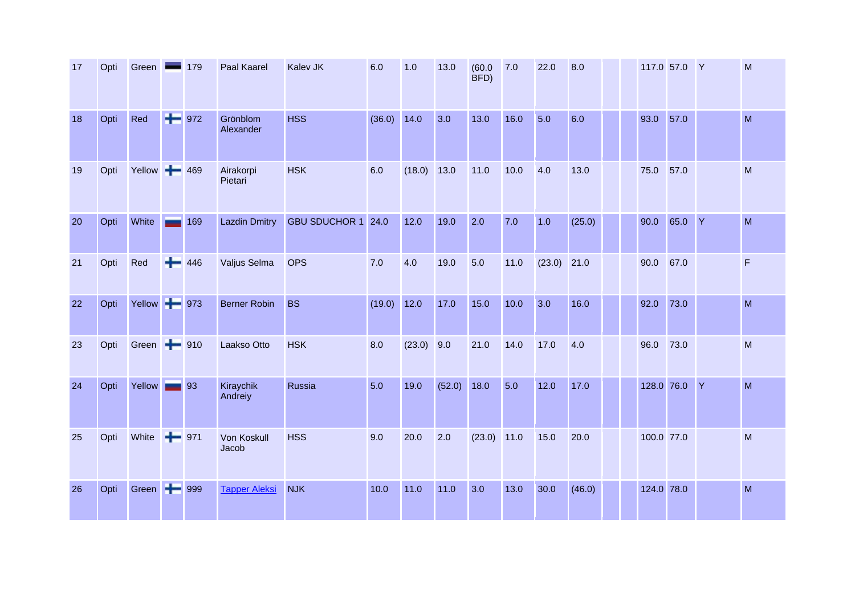| 17 | Opti | Green        | $\overline{\phantom{a}}$ | 179               | Paal Kaarel           | Kalev JK           | 6.0    | 1.0    | 13.0   | (60.0)<br>BFD) | 7.0  | 22.0   | 8.0    |      | 117.0 57.0 Y | M            |
|----|------|--------------|--------------------------|-------------------|-----------------------|--------------------|--------|--------|--------|----------------|------|--------|--------|------|--------------|--------------|
| 18 | Opti | Red          |                          | $+ 972$           | Grönblom<br>Alexander | <b>HSS</b>         | (36.0) | 14.0   | 3.0    | 13.0           | 16.0 | 5.0    | 6.0    | 93.0 | 57.0         | M            |
| 19 | Opti | Yellow 469   |                          |                   | Airakorpi<br>Pietari  | <b>HSK</b>         | 6.0    | (18.0) | 13.0   | 11.0           | 10.0 | 4.0    | 13.0   | 75.0 | 57.0         | M            |
| 20 | Opti | White        |                          | 169               | <b>Lazdin Dmitry</b>  | GBU SDUCHOR 1 24.0 |        | 12.0   | 19.0   | 2.0            | 7.0  | 1.0    | (25.0) | 90.0 | 65.0 Y       | M            |
| 21 | Opti | Red          |                          | $+ 446$           | Valjus Selma          | <b>OPS</b>         | 7.0    | 4.0    | 19.0   | 5.0            | 11.0 | (23.0) | 21.0   | 90.0 | 67.0         | $\mathsf{F}$ |
| 22 | Opti | Yellow + 973 |                          |                   | <b>Berner Robin</b>   | <b>BS</b>          | (19.0) | 12.0   | 17.0   | 15.0           | 10.0 | 3.0    | 16.0   | 92.0 | 73.0         | M            |
| 23 | Opti | Green        |                          | $+ 910$           | Laakso Otto           | <b>HSK</b>         | 8.0    | (23.0) | 9.0    | 21.0           | 14.0 | 17.0   | 4.0    | 96.0 | 73.0         | M            |
| 24 | Opti | Yellow       |                          | $\blacksquare$ 93 | Kiraychik<br>Andreiy  | Russia             | 5.0    | 19.0   | (52.0) | 18.0           | 5.0  | 12.0   | 17.0   |      | 128.0 76.0 Y | M            |
| 25 | Opti | White        | $+ 971$                  |                   | Von Koskull<br>Jacob  | <b>HSS</b>         | 9.0    | 20.0   | 2.0    | $(23.0)$ 11.0  |      | 15.0   | 20.0   |      | 100.0 77.0   | M            |
| 26 | Opti | Green + 999  |                          |                   | <b>Tapper Aleksi</b>  | <b>NJK</b>         | 10.0   | 11.0   | 11.0   | 3.0            | 13.0 | 30.0   | (46.0) |      | 124.0 78.0   | M            |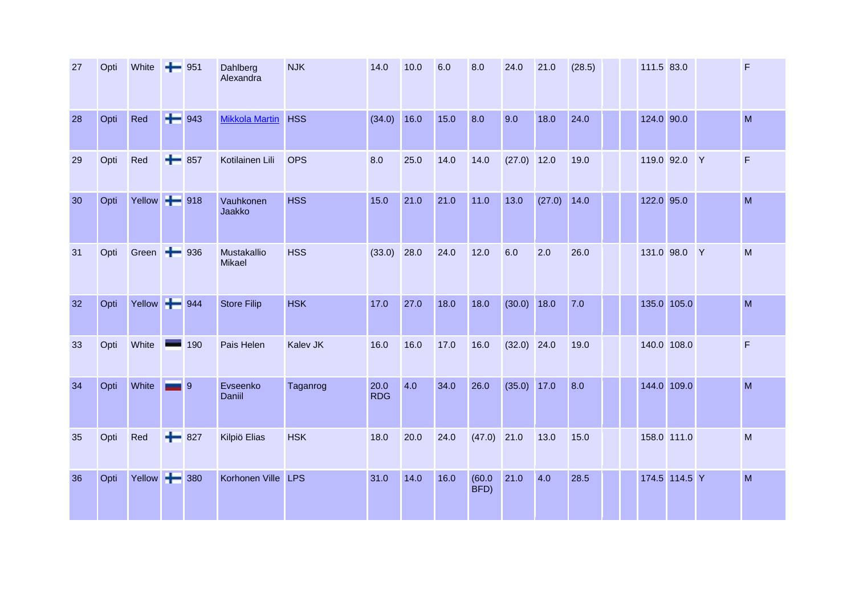| 27 | Opti | White                   | $+ 951$ |         | Dahlberg<br>Alexandra        | <b>NJK</b>      | 14.0               | 10.0 | 6.0  | 8.0            | 24.0          | 21.0   | (28.5) | 111.5 83.0 |               | F           |
|----|------|-------------------------|---------|---------|------------------------------|-----------------|--------------------|------|------|----------------|---------------|--------|--------|------------|---------------|-------------|
| 28 | Opti | Red                     |         | $+ 943$ | <b>Mikkola Martin</b>        | <b>HSS</b>      | (34.0)             | 16.0 | 15.0 | 8.0            | 9.0           | 18.0   | 24.0   | 124.0 90.0 |               | M           |
| 29 | Opti | Red                     |         | $+ 857$ | Kotilainen Lili              | <b>OPS</b>      | 8.0                | 25.0 | 14.0 | 14.0           | $(27.0)$ 12.0 |        | 19.0   |            | 119.0 92.0 Y  | F           |
| 30 | Opti | Yellow - 918            |         |         | Vauhkonen<br>Jaakko          | <b>HSS</b>      | 15.0               | 21.0 | 21.0 | 11.0           | 13.0          | (27.0) | 14.0   |            | 122.0 95.0    | M           |
| 31 | Opti | Green $\rightarrow$ 936 |         |         | Mustakallio<br><b>Mikael</b> | <b>HSS</b>      | (33.0)             | 28.0 | 24.0 | 12.0           | 6.0           | 2.0    | 26.0   |            | 131.0 98.0 Y  | M           |
| 32 | Opti | Yellow - 944            |         |         | <b>Store Filip</b>           | <b>HSK</b>      | 17.0               | 27.0 | 18.0 | 18.0           | (30.0)        | 18.0   | 7.0    |            | 135.0 105.0   | M           |
| 33 | Opti | White                   |         | 190     | Pais Helen                   | <b>Kalev JK</b> | 16.0               | 16.0 | 17.0 | 16.0           | $(32.0)$ 24.0 |        | 19.0   |            | 140.0 108.0   | $\mathsf F$ |
| 34 | Opti | White                   |         | 9       | Evseenko<br>Daniil           | Taganrog        | 20.0<br><b>RDG</b> | 4.0  | 34.0 | 26.0           | (35.0)        | 17.0   | 8.0    |            | 144.0 109.0   | M           |
| 35 | Opti | Red                     |         | $+ 827$ | Kilpiö Elias                 | <b>HSK</b>      | 18.0               | 20.0 | 24.0 | $(47.0)$ 21.0  |               | 13.0   | 15.0   |            | 158.0 111.0   | M           |
| 36 | Opti | Yellow + 380            |         |         | Korhonen Ville LPS           |                 | 31.0               | 14.0 | 16.0 | (60.0)<br>BFD) | 21.0          | 4.0    | 28.5   |            | 174.5 114.5 Y | M           |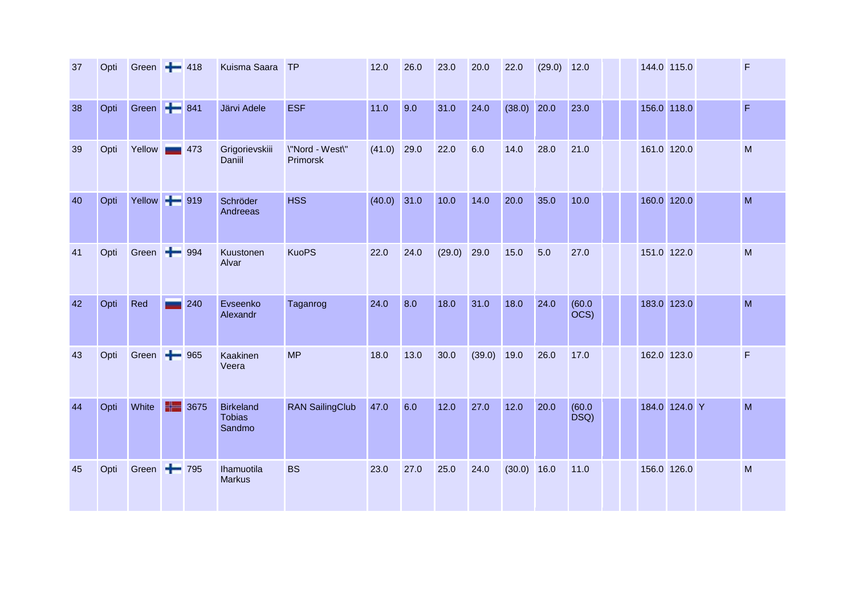| 37 | Opti | Green $\rightarrow$ 418 |     |        | Kuisma Saara                                | TP                          | 12.0          | 26.0 | 23.0   | 20.0          | 22.0          | (29.0) | 12.0                       |  | 144.0 115.0   | F            |
|----|------|-------------------------|-----|--------|---------------------------------------------|-----------------------------|---------------|------|--------|---------------|---------------|--------|----------------------------|--|---------------|--------------|
| 38 | Opti | Green <b>+ 841</b>      |     |        | Järvi Adele                                 | <b>ESF</b>                  | 11.0          | 9.0  | 31.0   | 24.0          | $(38.0)$ 20.0 |        | 23.0                       |  | 156.0 118.0   | F            |
| 39 | Opti | Yellow                  |     | $-473$ | Grigorievskiii<br>Daniil                    | \"Nord - West\"<br>Primorsk | (41.0)        | 29.0 | 22.0   | 6.0           | 14.0          | 28.0   | 21.0                       |  | 161.0 120.0   | M            |
| 40 | Opti | Yellow 1919             |     |        | Schröder<br>Andreeas                        | <b>HSS</b>                  | $(40.0)$ 31.0 |      | 10.0   | 14.0          | 20.0          | 35.0   | 10.0                       |  | 160.0 120.0   | M            |
| 41 | Opti | Green + 994             |     |        | Kuustonen<br>Alvar                          | <b>KuoPS</b>                | 22.0          | 24.0 | (29.0) | 29.0          | 15.0          | 5.0    | 27.0                       |  | 151.0 122.0   | M            |
| 42 | Opti | Red                     |     | 240    | Evseenko<br>Alexandr                        | Taganrog                    | 24.0          | 8.0  | 18.0   | 31.0          | 18.0          | 24.0   | (60.0)<br>$\overline{OCS}$ |  | 183.0 123.0   | M            |
| 43 | Opti | Green - 965             |     |        | Kaakinen<br>Veera                           | <b>MP</b>                   | 18.0          | 13.0 | 30.0   | $(39.0)$ 19.0 |               | 26.0   | 17.0                       |  | 162.0 123.0   | $\mathsf{F}$ |
| 44 | Opti | White                   | H - | 3675   | <b>Birkeland</b><br><b>Tobias</b><br>Sandmo | <b>RAN SailingClub</b>      | 47.0          | 6.0  | $12.0$ | 27.0          | 12.0          | 20.0   | (60.0)<br>DSQ)             |  | 184.0 124.0 Y | M            |
| 45 | Opti | Green <b>+</b> 795      |     |        | Ihamuotila<br><b>Markus</b>                 | <b>BS</b>                   | 23.0          | 27.0 | 25.0   | 24.0          | $(30.0)$ 16.0 |        | 11.0                       |  | 156.0 126.0   | M            |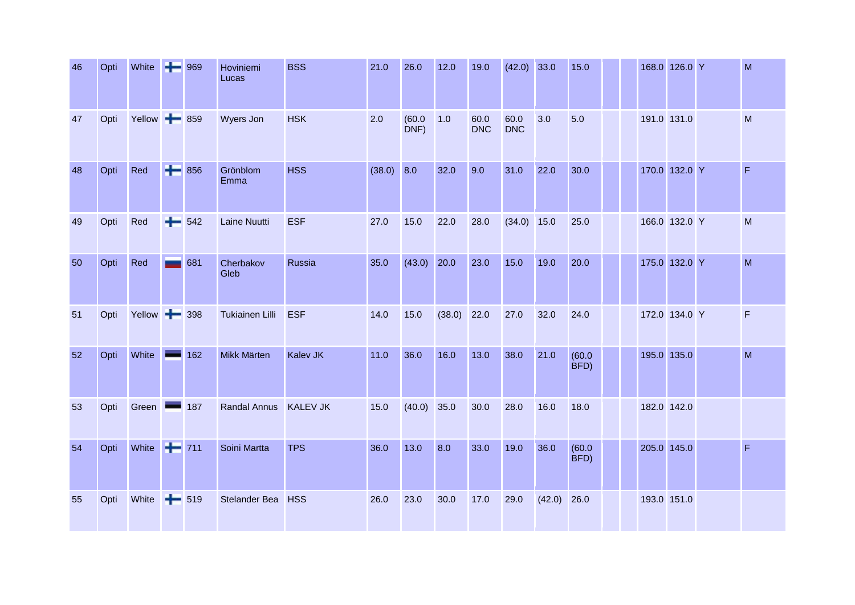| 46 | Opti | White + 969        |         | Hoviniemi<br>Lucas     | <b>BSS</b>      | 21.0         | 26.0           | 12.0   | 19.0               | $(42.0)$ 33.0      |        | 15.0           |  | 168.0 126.0 Y | M           |
|----|------|--------------------|---------|------------------------|-----------------|--------------|----------------|--------|--------------------|--------------------|--------|----------------|--|---------------|-------------|
| 47 | Opti | Yellow + 859       |         | Wyers Jon              | <b>HSK</b>      | 2.0          | (60.0)<br>DNF) | 1.0    | 60.0<br><b>DNC</b> | 60.0<br><b>DNC</b> | 3.0    | 5.0            |  | 191.0 131.0   | M           |
| 48 | Opti | Red                | $+ 856$ | Grönblom<br>Emma       | <b>HSS</b>      | $(38.0)$ 8.0 |                | 32.0   | 9.0                | 31.0               | 22.0   | 30.0           |  | 170.0 132.0 Y | $\mathsf F$ |
| 49 | Opti | Red                | $+ 542$ | <b>Laine Nuutti</b>    | <b>ESF</b>      | 27.0         | 15.0           | 22.0   | 28.0               | $(34.0)$ 15.0      |        | 25.0           |  | 166.0 132.0 Y | M           |
| 50 | Opti | Red                | 681     | Cherbakov<br>Gleb      | Russia          | 35.0         | $(43.0)$ 20.0  |        | 23.0               | 15.0               | 19.0   | 20.0           |  | 175.0 132.0 Y | M           |
| 51 | Opti | Yellow - 398       |         | <b>Tukiainen Lilli</b> | <b>ESF</b>      | 14.0         | 15.0           | (38.0) | 22.0               | 27.0               | 32.0   | 24.0           |  | 172.0 134.0 Y | $\mathsf F$ |
| 52 | Opti | White              | 162     | Mikk Märten            | Kalev JK        | $11.0$       | 36.0           | 16.0   | 13.0               | 38.0               | 21.0   | (60.0)<br>BFD) |  | 195.0 135.0   | M           |
| 53 | Opti | Green –            | 187     | <b>Randal Annus</b>    | <b>KALEV JK</b> | 15.0         | (40.0)         | 35.0   | 30.0               | 28.0               | 16.0   | 18.0           |  | 182.0 142.0   |             |
| 54 | Opti | White <b>+</b> 711 |         | Soini Martta           | <b>TPS</b>      | 36.0         | 13.0           | 8.0    | 33.0               | 19.0               | 36.0   | (60.0)<br>BFD) |  | 205.0 145.0   | F           |
| 55 | Opti | White              | $+ 519$ | Stelander Bea          | <b>HSS</b>      | 26.0         | 23.0           | 30.0   | 17.0               | 29.0               | (42.0) | 26.0           |  | 193.0 151.0   |             |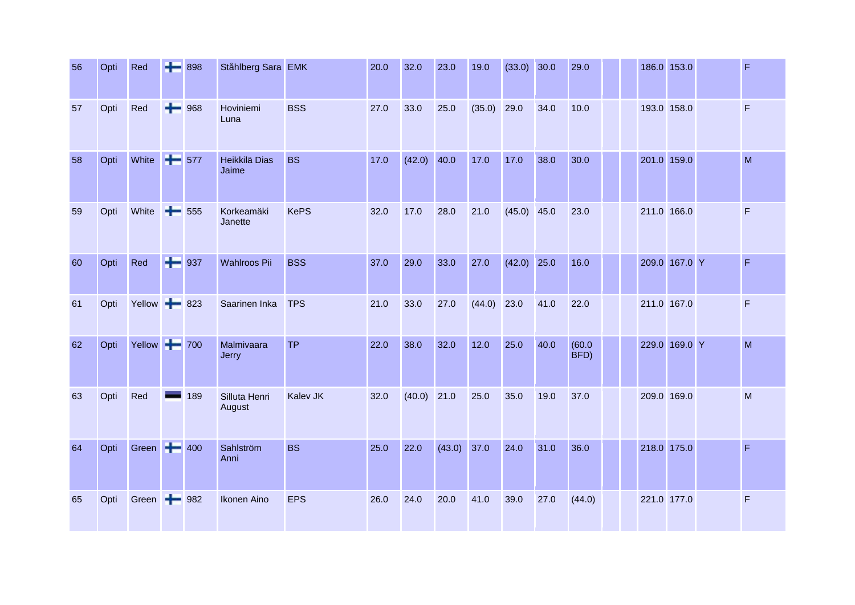| 56 | Opti | Red         |              | $+ 898$ | Ståhlberg Sara EMK      |                 | 20.0 | 32.0   | 23.0   | 19.0   | (33.0)        | 30.0 | 29.0           |             | 186.0 153.0   | $\mathsf F$    |
|----|------|-------------|--------------|---------|-------------------------|-----------------|------|--------|--------|--------|---------------|------|----------------|-------------|---------------|----------------|
| 57 | Opti | Red         |              | $+ 968$ | Hoviniemi<br>Luna       | <b>BSS</b>      | 27.0 | 33.0   | 25.0   | (35.0) | 29.0          | 34.0 | 10.0           | 193.0 158.0 |               | F              |
| 58 | Opti | White       | $+ 577$      |         | Heikkilä Dias<br>Jaime  | <b>BS</b>       | 17.0 | (42.0) | 40.0   | 17.0   | 17.0          | 38.0 | 30.0           |             | 201.0 159.0   | M              |
| 59 | Opti | White       | ÷            | 555     | Korkeamäki<br>Janette   | <b>KePS</b>     | 32.0 | 17.0   | 28.0   | 21.0   | $(45.0)$ 45.0 |      | 23.0           |             | 211.0 166.0   | F              |
| 60 | Opti | Red         |              | $+$ 937 | Wahlroos Pii            | <b>BSS</b>      | 37.0 | 29.0   | 33.0   | 27.0   | (42.0)        | 25.0 | 16.0           |             | 209.0 167.0 Y | F              |
| 61 | Opti | Yellow      |              | $+ 823$ | Saarinen Inka           | <b>TPS</b>      | 21.0 | 33.0   | 27.0   | (44.0) | 23.0          | 41.0 | 22.0           | 211.0 167.0 |               | F              |
| 62 | Opti | Yellow 700  |              |         | Malmivaara<br>Jerry     | <b>TP</b>       | 22.0 | 38.0   | 32.0   | 12.0   | 25.0          | 40.0 | (60.0)<br>BFD) |             | 229.0 169.0 Y | M              |
| 63 | Opti | Red         |              | 189     | Silluta Henri<br>August | <b>Kalev JK</b> | 32.0 | (40.0) | 21.0   | 25.0   | 35.0          | 19.0 | 37.0           | 209.0 169.0 |               | M              |
| 64 | Opti | Green + 400 |              |         | Sahlström<br>Anni       | <b>BS</b>       | 25.0 | 22.0   | (43.0) | 37.0   | 24.0          | 31.0 | 36.0           |             | 218.0 175.0   | $\mathsf{F}$   |
| 65 | Opti | Green       | $\leftarrow$ | 982     | Ikonen Aino             | <b>EPS</b>      | 26.0 | 24.0   | 20.0   | 41.0   | 39.0          | 27.0 | (44.0)         | 221.0 177.0 |               | $\overline{F}$ |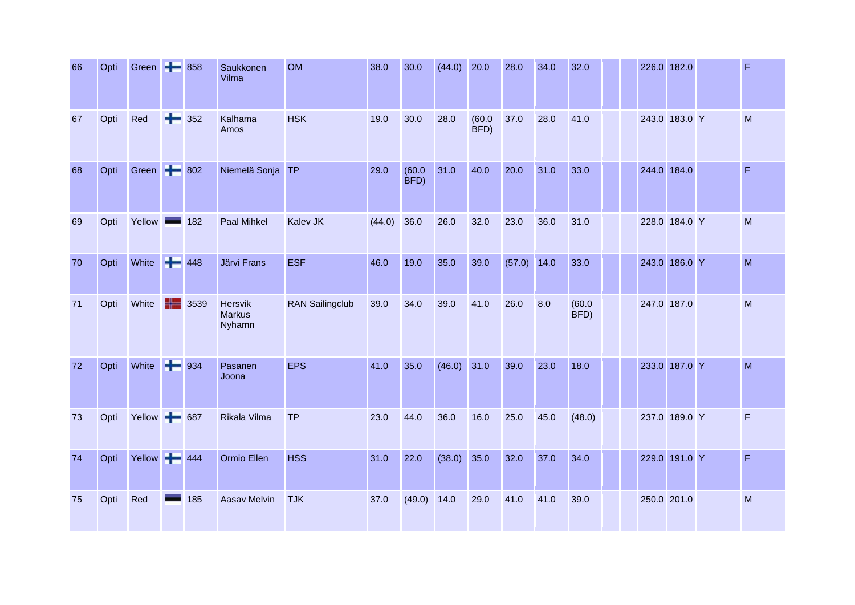| 66 | Opti | Green + 858  |         |      | Saukkonen<br>Vilma                 | <b>OM</b>              | 38.0   | 30.0           | (44.0) | 20.0           | 28.0   | 34.0 | 32.0           |  | 226.0 182.0   | F            |
|----|------|--------------|---------|------|------------------------------------|------------------------|--------|----------------|--------|----------------|--------|------|----------------|--|---------------|--------------|
| 67 | Opti | Red          | ÷       | 352  | Kalhama<br>Amos                    | <b>HSK</b>             | 19.0   | 30.0           | 28.0   | (60.0)<br>BFD) | 37.0   | 28.0 | 41.0           |  | 243.0 183.0 Y | M            |
| 68 | Opti | Green + 802  |         |      | Niemelä Sonja                      | <b>TP</b>              | 29.0   | (60.0)<br>BFD) | 31.0   | 40.0           | 20.0   | 31.0 | 33.0           |  | 244.0 184.0   | $\mathsf F$  |
| 69 | Opti | Yellow       | ▄       | 182  | Paal Mihkel                        | Kalev JK               | (44.0) | 36.0           | 26.0   | 32.0           | 23.0   | 36.0 | 31.0           |  | 228.0 184.0 Y | M            |
| 70 | Opti | White        | $+ 448$ |      | Järvi Frans                        | <b>ESF</b>             | 46.0   | 19.0           | 35.0   | 39.0           | (57.0) | 14.0 | 33.0           |  | 243.0 186.0 Y | M            |
| 71 | Opti | White        | ╬═      | 3539 | Hersvik<br><b>Markus</b><br>Nyhamn | <b>RAN Sailingclub</b> | 39.0   | 34.0           | 39.0   | 41.0           | 26.0   | 8.0  | (60.0)<br>BFD) |  | 247.0 187.0   | M            |
| 72 | Opti | White        | $- 934$ |      | Pasanen<br>Joona                   | <b>EPS</b>             | 41.0   | 35.0           | (46.0) | 31.0           | 39.0   | 23.0 | 18.0           |  | 233.0 187.0 Y | M            |
| 73 | Opti | Yellow + 687 |         |      | Rikala Vilma                       | <b>TP</b>              | 23.0   | 44.0           | 36.0   | 16.0           | 25.0   | 45.0 | (48.0)         |  | 237.0 189.0 Y | $\mathsf{F}$ |
| 74 | Opti | Yellow +444  |         |      | Ormio Ellen                        | <b>HSS</b>             | 31.0   | 22.0           | (38.0) | 35.0           | 32.0   | 37.0 | 34.0           |  | 229.0 191.0 Y | $\mathsf F$  |
| 75 | Opti | Red          |         | 185  | Aasav Melvin                       | <b>TJK</b>             | 37.0   | (49.0)         | 14.0   | 29.0           | 41.0   | 41.0 | 39.0           |  | 250.0 201.0   | M            |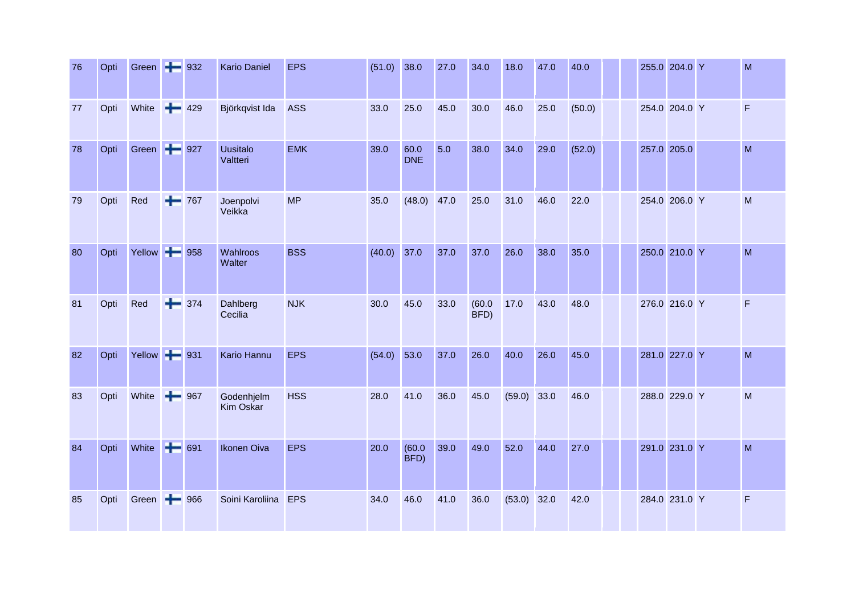| 76 | Opti | Green <b>+</b> 932 |     |         | <b>Kario Daniel</b>         | <b>EPS</b> | $(51.0)$ 38.0 |                    | 27.0 | 34.0           | 18.0   | 47.0 | 40.0   |  | 255.0 204.0 Y | M              |
|----|------|--------------------|-----|---------|-----------------------------|------------|---------------|--------------------|------|----------------|--------|------|--------|--|---------------|----------------|
| 77 | Opti | White              |     | $+ 429$ | Björkqvist Ida              | <b>ASS</b> | 33.0          | 25.0               | 45.0 | 30.0           | 46.0   | 25.0 | (50.0) |  | 254.0 204.0 Y | $\mathsf F$    |
| 78 | Opti | Green + 927        |     |         | <b>Uusitalo</b><br>Valtteri | <b>EMK</b> | 39.0          | 60.0<br><b>DNE</b> | 5.0  | 38.0           | 34.0   | 29.0 | (52.0) |  | 257.0 205.0   | M              |
| 79 | Opti | Red                | ÷   | 767     | Joenpolvi<br>Veikka         | <b>MP</b>  | 35.0          | (48.0)             | 47.0 | 25.0           | 31.0   | 46.0 | 22.0   |  | 254.0 206.0 Y | M              |
| 80 | Opti | Yellow + 958       |     |         | Wahlroos<br>Walter          | <b>BSS</b> | (40.0)        | 37.0               | 37.0 | 37.0           | 26.0   | 38.0 | 35.0   |  | 250.0 210.0 Y | M              |
| 81 | Opti | Red                |     | $+ 374$ | Dahlberg<br>Cecilia         | <b>NJK</b> | 30.0          | 45.0               | 33.0 | (60.0)<br>BFD) | 17.0   | 43.0 | 48.0   |  | 276.0 216.0 Y | $\overline{F}$ |
| 82 | Opti | Yellow - 931       |     |         | Kario Hannu                 | <b>EPS</b> | (54.0)        | 53.0               | 37.0 | 26.0           | 40.0   | 26.0 | 45.0   |  | 281.0 227.0 Y | M              |
| 83 | Opti | White              |     | $+ 967$ | Godenhjelm<br>Kim Oskar     | <b>HSS</b> | 28.0          | 41.0               | 36.0 | 45.0           | (59.0) | 33.0 | 46.0   |  | 288.0 229.0 Y | M              |
| 84 | Opti | White              | $+$ | 691     | <b>Ikonen Oiva</b>          | <b>EPS</b> | 20.0          | (60.0)<br>BFD)     | 39.0 | 49.0           | 52.0   | 44.0 | 27.0   |  | 291.0 231.0 Y | M              |
| 85 | Opti | Green              | ÷   | 966     | Soini Karoliina             | <b>EPS</b> | 34.0          | 46.0               | 41.0 | 36.0           | (53.0) | 32.0 | 42.0   |  | 284.0 231.0 Y | $\mathsf F$    |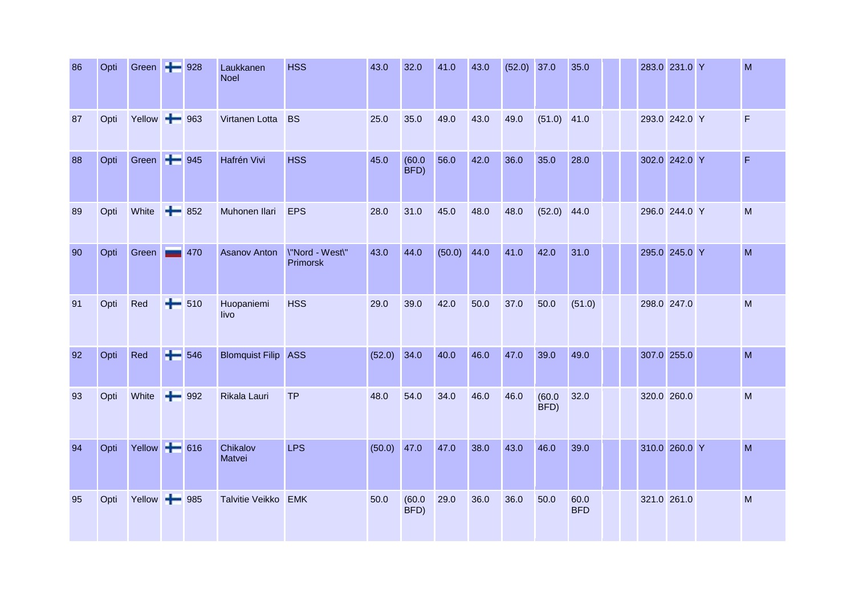| 86 | Opti | Green + 928  |         | Laukkanen<br><b>Noel</b> | <b>HSS</b>                  | 43.0          | 32.0           | 41.0          | 43.0 | $(52.0)$ 37.0 |                | 35.0               |  | 283.0 231.0 Y | M                       |
|----|------|--------------|---------|--------------------------|-----------------------------|---------------|----------------|---------------|------|---------------|----------------|--------------------|--|---------------|-------------------------|
| 87 | Opti | Yellow + 963 |         | Virtanen Lotta           | <b>BS</b>                   | 25.0          | 35.0           | 49.0          | 43.0 | 49.0          | (51.0)         | 41.0               |  | 293.0 242.0 Y | $\overline{\mathsf{F}}$ |
| 88 | Opti | Green + 945  |         | Hafrén Vivi              | <b>HSS</b>                  | 45.0          | (60.0)<br>BFD) | 56.0          | 42.0 | 36.0          | 35.0           | 28.0               |  | 302.0 242.0 Y | $\mathsf F$             |
| 89 | Opti | White        | $+ 852$ | Muhonen Ilari            | <b>EPS</b>                  | 28.0          | 31.0           | 45.0          | 48.0 | 48.0          | (52.0)         | 44.0               |  | 296.0 244.0 Y | M                       |
| 90 | Opti | Green        | 470     | <b>Asanov Anton</b>      | \"Nord - West\"<br>Primorsk | 43.0          | 44.0           | $(50.0)$ 44.0 |      | 41.0          | 42.0           | 31.0               |  | 295.0 245.0 Y | M                       |
| 91 | Opti | Red          | $+ 510$ | Huopaniemi<br>livo       | <b>HSS</b>                  | 29.0          | 39.0           | 42.0          | 50.0 | 37.0          | 50.0           | (51.0)             |  | 298.0 247.0   | M                       |
| 92 | Opti | Red          | $+ 546$ | <b>Blomquist Filip</b>   | <b>ASS</b>                  | $(52.0)$ 34.0 |                | 40.0          | 46.0 | 47.0          | 39.0           | 49.0               |  | 307.0 255.0   | M                       |
| 93 | Opti | White        | $+ 992$ | Rikala Lauri             | <b>TP</b>                   | 48.0          | 54.0           | 34.0          | 46.0 | 46.0          | (60.0)<br>BFD) | 32.0               |  | 320.0 260.0   | M                       |
| 94 | Opti | Yellow + 616 |         | Chikalov<br>Matvei       | <b>LPS</b>                  | $(50.0)$ 47.0 |                | 47.0          | 38.0 | 43.0          | 46.0           | 39.0               |  | 310.0 260.0 Y | M                       |
| 95 | Opti | Yellow - 985 |         | <b>Talvitie Veikko</b>   | <b>EMK</b>                  | 50.0          | (60.0)<br>BFD) | 29.0          | 36.0 | 36.0          | 50.0           | 60.0<br><b>BFD</b> |  | 321.0 261.0   | M                       |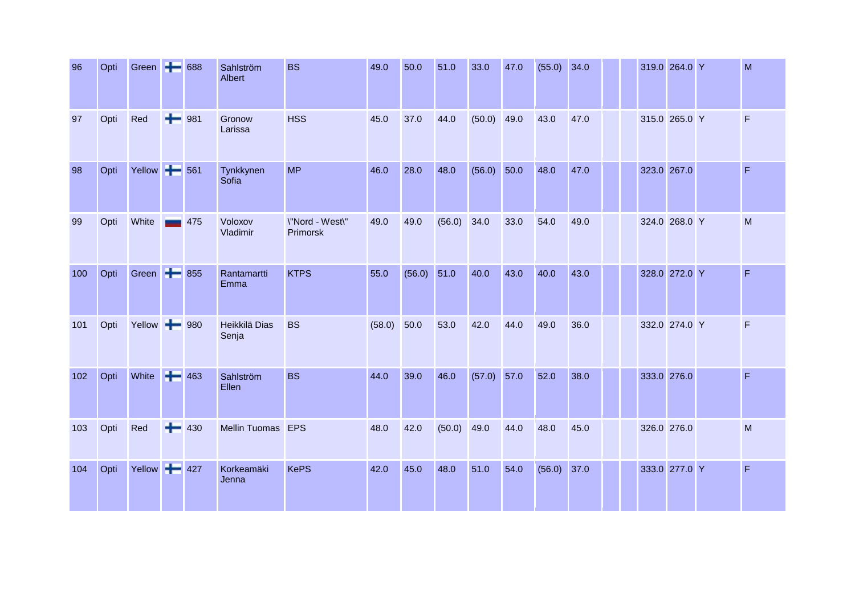| 96  | Opti | Green + 688  |         |         | Sahlström<br>Albert    | <b>BS</b>                   | 49.0   | 50.0   | 51.0   | 33.0   | 47.0 | (55.0) | 34.0 |  | 319.0 264.0 Y | M            |
|-----|------|--------------|---------|---------|------------------------|-----------------------------|--------|--------|--------|--------|------|--------|------|--|---------------|--------------|
| 97  | Opti | Red          | $+ 981$ |         | Gronow<br>Larissa      | <b>HSS</b>                  | 45.0   | 37.0   | 44.0   | (50.0) | 49.0 | 43.0   | 47.0 |  | 315.0 265.0 Y | $\mathsf F$  |
| 98  | Opti | Yellow + 561 |         |         | Tynkkynen<br>Sofia     | <b>MP</b>                   | 46.0   | 28.0   | 48.0   | (56.0) | 50.0 | 48.0   | 47.0 |  | 323.0 267.0   | F            |
| 99  | Opti | White        |         | 475     | Voloxov<br>Vladimir    | \"Nord - West\"<br>Primorsk | 49.0   | 49.0   | (56.0) | 34.0   | 33.0 | 54.0   | 49.0 |  | 324.0 268.0 Y | M            |
| 100 | Opti | Green + 855  |         |         | Rantamartti<br>Emma    | <b>KTPS</b>                 | 55.0   | (56.0) | 51.0   | 40.0   | 43.0 | 40.0   | 43.0 |  | 328.0 272.0 Y | $\mathsf F$  |
| 101 | Opti | Yellow - 980 |         |         | Heikkilä Dias<br>Senja | <b>BS</b>                   | (58.0) | 50.0   | 53.0   | 42.0   | 44.0 | 49.0   | 36.0 |  | 332.0 274.0 Y | F            |
| 102 | Opti | White        | $+ 463$ |         | Sahlström<br>Ellen     | <b>BS</b>                   | 44.0   | 39.0   | 46.0   | (57.0) | 57.0 | 52.0   | 38.0 |  | 333.0 276.0   | $\mathsf{F}$ |
| 103 | Opti | Red          |         | $+ 430$ | Mellin Tuomas EPS      |                             | 48.0   | 42.0   | (50.0) | 49.0   | 44.0 | 48.0   | 45.0 |  | 326.0 276.0   | M            |
| 104 | Opti | Yellow + 427 |         |         | Korkeamäki<br>Jenna    | <b>KePS</b>                 | 42.0   | 45.0   | 48.0   | 51.0   | 54.0 | (56.0) | 37.0 |  | 333.0 277.0 Y | $\mathsf F$  |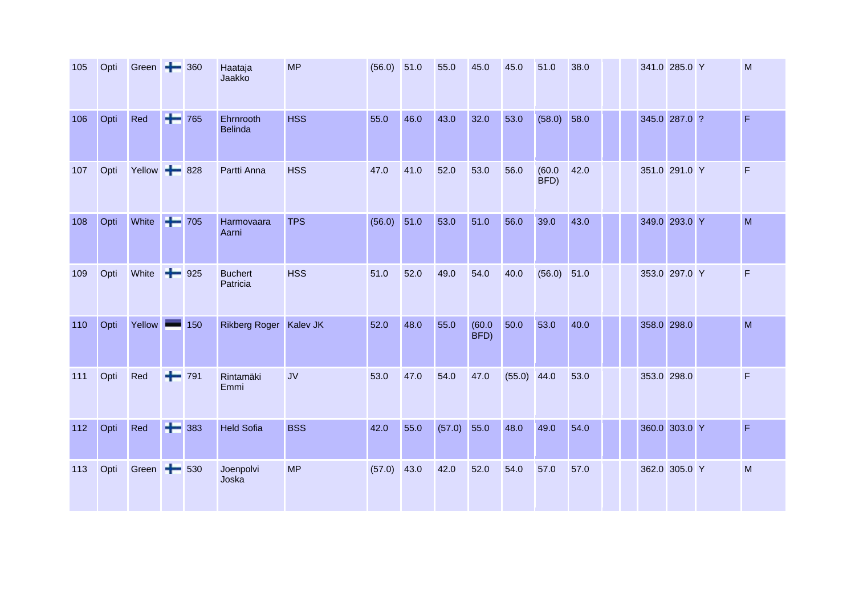| 105 | Opti | Green $\rightarrow$ 360 |   |                      | Haataja<br>Jaakko           | <b>MP</b>  | $(56.0)$ 51.0 |      | 55.0   | 45.0           | 45.0          | 51.0           | 38.0 |  | 341.0 285.0 Y | M              |
|-----|------|-------------------------|---|----------------------|-----------------------------|------------|---------------|------|--------|----------------|---------------|----------------|------|--|---------------|----------------|
| 106 | Opti | Red                     |   | $+ 765$              | Ehrnrooth<br><b>Belinda</b> | <b>HSS</b> | 55.0          | 46.0 | 43.0   | 32.0           | 53.0          | (58.0)         | 58.0 |  | 345.0 287.0 ? | $\overline{F}$ |
| 107 | Opti | Yellow -                |   | 828                  | Partti Anna                 | <b>HSS</b> | 47.0          | 41.0 | 52.0   | 53.0           | 56.0          | (60.0)<br>BFD) | 42.0 |  | 351.0 291.0 Y | F              |
| 108 | Opti | White                   |   | $\left  \right $ 705 | Harmovaara<br>Aarni         | <b>TPS</b> | (56.0)        | 51.0 | 53.0   | 51.0           | 56.0          | 39.0           | 43.0 |  | 349.0 293.0 Y | M              |
| 109 | Opti | White                   | ÷ | 925                  | <b>Buchert</b><br>Patricia  | <b>HSS</b> | 51.0          | 52.0 | 49.0   | 54.0           | 40.0          | (56.0)         | 51.0 |  | 353.0 297.0 Y | $\mathsf F$    |
| 110 | Opti | Yellow                  |   | 150                  | Rikberg Roger Kalev JK      |            | 52.0          | 48.0 | 55.0   | (60.0)<br>BFD) | 50.0          | 53.0           | 40.0 |  | 358.0 298.0   | M              |
| 111 | Opti | Red                     |   | $+ 791$              | Rintamäki<br>Emmi           | <b>JV</b>  | 53.0          | 47.0 | 54.0   | 47.0           | $(55.0)$ 44.0 |                | 53.0 |  | 353.0 298.0   | $\mathsf F$    |
| 112 | Opti | Red                     |   | $+ 383$              | <b>Held Sofia</b>           | <b>BSS</b> | 42.0          | 55.0 | (57.0) | 55.0           | 48.0          | 49.0           | 54.0 |  | 360.0 303.0 Y | $\mathsf F$    |
| 113 | Opti | Green +                 |   | 530                  | Joenpolvi<br>Joska          | <b>MP</b>  | (57.0)        | 43.0 | 42.0   | 52.0           | 54.0          | 57.0           | 57.0 |  | 362.0 305.0 Y | M              |